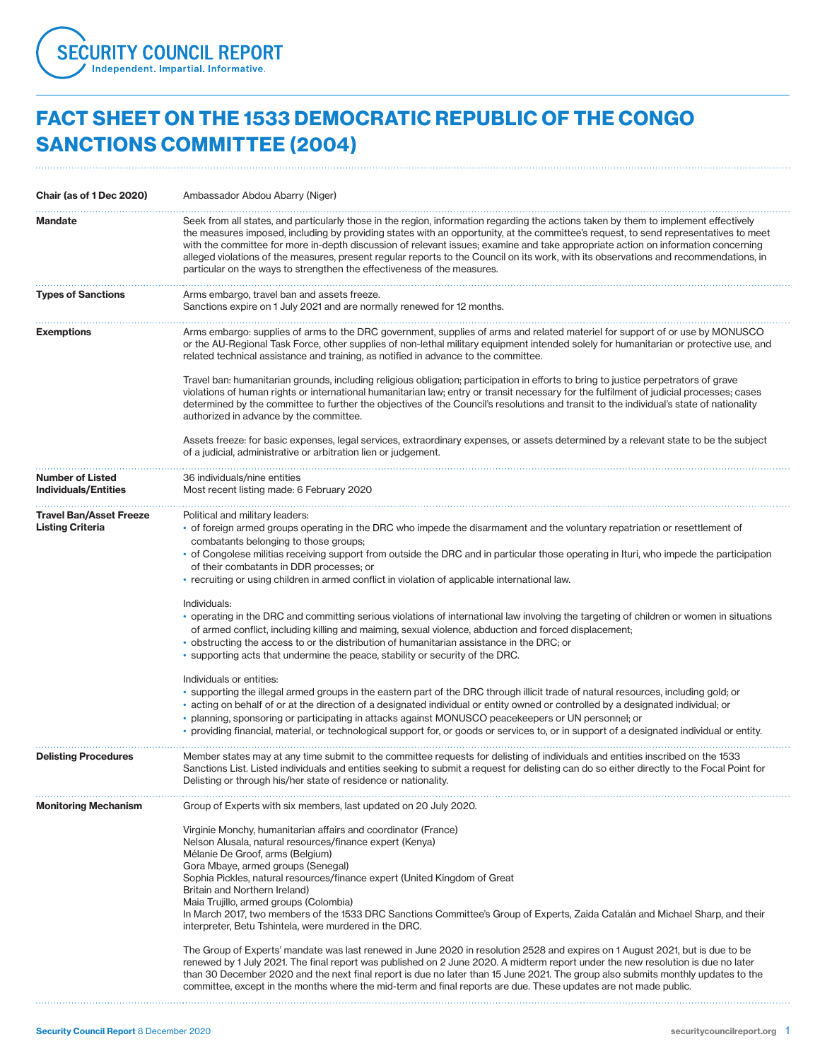

## FACT SHEET ON THE 1533 DEMOCRATIC REPUBLIC OF THE CONGO SANCTIONS COMMITTEE (2004)

| Chair (as of 1 Dec 2020)                                  | Ambassador Abdou Abarry (Niger)                                                                                                                                                                                                                                                                                                                                                                                                                                                                                                                                                                                                                                                                                                                                                                                                                                                                                                                                                                                                                                                                                                                                                                                                                                                                                                                                                                                                                                                                                   |
|-----------------------------------------------------------|-------------------------------------------------------------------------------------------------------------------------------------------------------------------------------------------------------------------------------------------------------------------------------------------------------------------------------------------------------------------------------------------------------------------------------------------------------------------------------------------------------------------------------------------------------------------------------------------------------------------------------------------------------------------------------------------------------------------------------------------------------------------------------------------------------------------------------------------------------------------------------------------------------------------------------------------------------------------------------------------------------------------------------------------------------------------------------------------------------------------------------------------------------------------------------------------------------------------------------------------------------------------------------------------------------------------------------------------------------------------------------------------------------------------------------------------------------------------------------------------------------------------|
| <b>Mandate</b>                                            | Seek from all states, and particularly those in the region, information regarding the actions taken by them to implement effectively<br>the measures imposed, including by providing states with an opportunity, at the committee's request, to send representatives to meet<br>with the committee for more in-depth discussion of relevant issues; examine and take appropriate action on information concerning<br>alleged violations of the measures, present regular reports to the Council on its work, with its observations and recommendations, in<br>particular on the ways to strengthen the effectiveness of the measures.                                                                                                                                                                                                                                                                                                                                                                                                                                                                                                                                                                                                                                                                                                                                                                                                                                                                             |
| <b>Types of Sanctions</b>                                 | Arms embargo, travel ban and assets freeze.<br>Sanctions expire on 1 July 2021 and are normally renewed for 12 months.                                                                                                                                                                                                                                                                                                                                                                                                                                                                                                                                                                                                                                                                                                                                                                                                                                                                                                                                                                                                                                                                                                                                                                                                                                                                                                                                                                                            |
| <b>Exemptions</b>                                         | Arms embargo: supplies of arms to the DRC government, supplies of arms and related materiel for support of or use by MONUSCO<br>or the AU-Regional Task Force, other supplies of non-lethal military equipment intended solely for humanitarian or protective use, and<br>related technical assistance and training, as notified in advance to the committee.                                                                                                                                                                                                                                                                                                                                                                                                                                                                                                                                                                                                                                                                                                                                                                                                                                                                                                                                                                                                                                                                                                                                                     |
|                                                           | Travel ban: humanitarian grounds, including religious obligation; participation in efforts to bring to justice perpetrators of grave<br>violations of human rights or international humanitarian law; entry or transit necessary for the fulfilment of judicial processes; cases<br>determined by the committee to further the objectives of the Council's resolutions and transit to the individual's state of nationality<br>authorized in advance by the committee.                                                                                                                                                                                                                                                                                                                                                                                                                                                                                                                                                                                                                                                                                                                                                                                                                                                                                                                                                                                                                                            |
|                                                           | Assets freeze: for basic expenses, legal services, extraordinary expenses, or assets determined by a relevant state to be the subject<br>of a judicial, administrative or arbitration lien or judgement.                                                                                                                                                                                                                                                                                                                                                                                                                                                                                                                                                                                                                                                                                                                                                                                                                                                                                                                                                                                                                                                                                                                                                                                                                                                                                                          |
| <b>Number of Listed</b><br><b>Individuals/Entities</b>    | 36 individuals/nine entities<br>Most recent listing made: 6 February 2020                                                                                                                                                                                                                                                                                                                                                                                                                                                                                                                                                                                                                                                                                                                                                                                                                                                                                                                                                                                                                                                                                                                                                                                                                                                                                                                                                                                                                                         |
| <b>Travel Ban/Asset Freeze</b><br><b>Listing Criteria</b> | Political and military leaders:<br>• of foreign armed groups operating in the DRC who impede the disarmament and the voluntary repatriation or resettlement of<br>combatants belonging to those groups;<br>• of Congolese militias receiving support from outside the DRC and in particular those operating in Ituri, who impede the participation<br>of their combatants in DDR processes; or<br>• recruiting or using children in armed conflict in violation of applicable international law.<br>Individuals:<br>• operating in the DRC and committing serious violations of international law involving the targeting of children or women in situations<br>of armed conflict, including killing and maiming, sexual violence, abduction and forced displacement;<br>• obstructing the access to or the distribution of humanitarian assistance in the DRC; or<br>• supporting acts that undermine the peace, stability or security of the DRC.<br>Individuals or entities:<br>• supporting the illegal armed groups in the eastern part of the DRC through illicit trade of natural resources, including gold; or<br>• acting on behalf of or at the direction of a designated individual or entity owned or controlled by a designated individual; or<br>• planning, sponsoring or participating in attacks against MONUSCO peacekeepers or UN personnel; or<br>• providing financial, material, or technological support for, or goods or services to, or in support of a designated individual or entity. |
| <b>Delisting Procedures</b>                               | Member states may at any time submit to the committee requests for delisting of individuals and entities inscribed on the 1533<br>Sanctions List. Listed individuals and entities seeking to submit a request for delisting can do so either directly to the Focal Point for<br>Delisting or through his/her state of residence or nationality.                                                                                                                                                                                                                                                                                                                                                                                                                                                                                                                                                                                                                                                                                                                                                                                                                                                                                                                                                                                                                                                                                                                                                                   |
| <b>Monitoring Mechanism</b>                               | Group of Experts with six members, last updated on 20 July 2020.<br>Virginie Monchy, humanitarian affairs and coordinator (France)<br>Nelson Alusala, natural resources/finance expert (Kenya)<br>Mélanie De Groof, arms (Belgium)<br>Gora Mbaye, armed groups (Senegal)<br>Sophia Pickles, natural resources/finance expert (United Kingdom of Great<br>Britain and Northern Ireland)<br>Maia Trujillo, armed groups (Colombia)<br>In March 2017, two members of the 1533 DRC Sanctions Committee's Group of Experts, Zaida Catalán and Michael Sharp, and their<br>interpreter, Betu Tshintela, were murdered in the DRC.<br>The Group of Experts' mandate was last renewed in June 2020 in resolution 2528 and expires on 1 August 2021, but is due to be<br>renewed by 1 July 2021. The final report was published on 2 June 2020. A midterm report under the new resolution is due no later<br>than 30 December 2020 and the next final report is due no later than 15 June 2021. The group also submits monthly updates to the<br>committee, except in the months where the mid-term and final reports are due. These updates are not made public.                                                                                                                                                                                                                                                                                                                                                          |